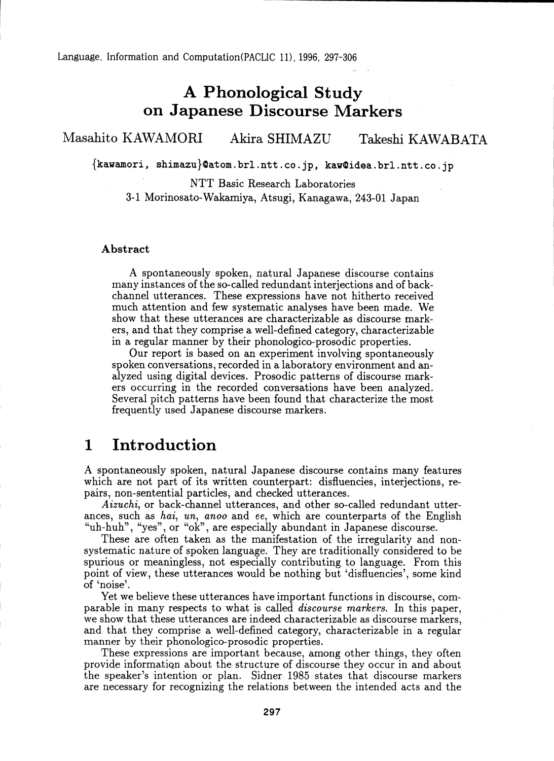Language, Information and Computation(PACLIC 11), 1996, 297-306

# A Phonological Study on Japanese Discourse Markers

### Masahito KAWAMORI Akira SHIMAZU Takeshi KAWABATA

fkawamori, shimazujOatom.brl.ntt.co.jp, kawOidea.brl.ntt.co.jp

NTT Basic Research Laboratories 3-1 Morinosato-Wakamiya, Atsugi, Kanagawa, 243-01 Japan

### Abstract

A spontaneously spoken, natural Japanese discourse contains many instances of the so-called redundant interjections and of backchannel utterances. These expressions have not hitherto received much attention and few systematic analyses have been made. We show that these utterances are characterizable as discourse markers, and that they comprise a well-defined category, characterizable in a regular manner by their phonologico-prosodic properties.

Our report is based on an experiment involving spontaneously spoken conversations, recorded in a laboratory environment and analyzed using digital devices. Prosodic patterns of discourse markers occurring in the recorded conversations have been analyzed. Several pitch patterns have been found that characterize the most frequently used Japanese discourse markers.

### 1 Introduction

A spontaneously spoken, natural Japanese discourse contains many features which are not part of its written counterpart: disfluencies, interjections, repairs, non-sentential particles, and checked utterances.

*Aizuchi,* or back-channel utterances, and other so-called redundant utterances, such as *hai, un, anoo* and *ee,* which are counterparts of the English "uh-huh", "yes", or "ok", are especially abundant in Japanese discourse.

These are often taken as the manifestation of the irregularity and nonsystematic nature of spoken language. They are traditionally considered to be spurious or meaningless, not especially contributing to language. From this point of view, these utterances would be nothing but 'disfluencies', some kind of 'noise'.

Yet we believe these utterances have important functions in discourse, comparable in many respects to what is called *discourse markers.* In this paper, we show that these utterances are indeed characterizable as discourse markers, and that they comprise a well-defined category, characterizable in a regular manner by their phonologico-prosodic properties.

These expressions are important because, among other things, they often provide informatiQn about the structure of discourse they occur in and about the speaker's intention or plan. Sidner 1985 states that discourse markers are necessary for recognizing the relations between the intended acts and the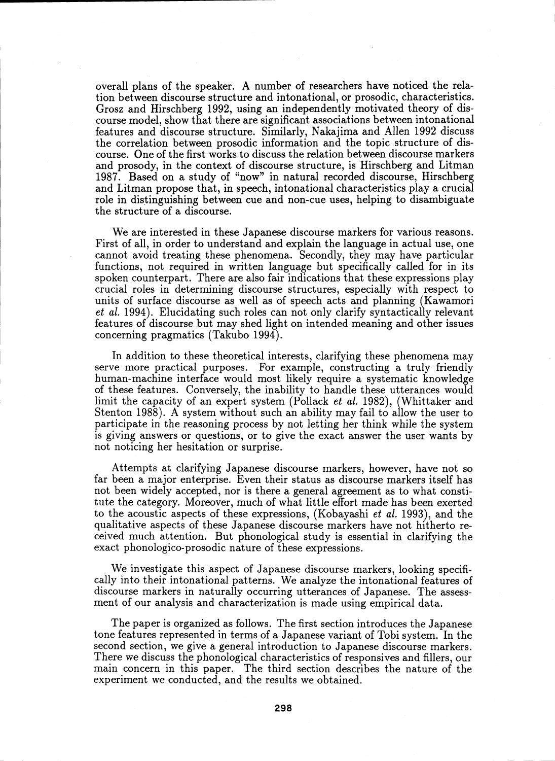overall plans of the speaker. A number of researchers have noticed the relation between discourse structure and intonational, or prosodic, characteristics. Grosz and Hirschberg 1992, using an independently motivated theory of discourse model, show that there are significant associations between intonational features and discourse structure. Similarly, Nakajima and Allen 1992 discuss the correlation between prosodic information and the topic structure of discourse. One of the first works to discuss the relation between discourse markers and prosody, in the context of discourse structure, is Hirschberg and Litman 1987. Based on a study of "now" in natural recorded discourse, Hirschberg and Litman propose that, in speech, intonational characteristics play a crucial role in distinguishing between cue and non-cue uses, helping to disambiguate the structure of a discourse.

We are interested in these Japanese discourse markers for various reasons. First of all, in order to understand and explain the language in actual use, one cannot avoid treating these phenomena. Secondly, they may have particular functions, not required in written language but specifically called for in its spoken counterpart. There are also fair indications that these expressions play crucial roles in determining discourse structures, especially with respect to units of surface discourse as well as of speech acts and planning (Kawamori *et al.* 1994). Elucidating such roles can not only clarify syntactically relevant features of discourse but may shed light on intended meaning and other issues concerning pragmatics (Takubo 1994).

In addition to these theoretical interests, clarifying these phenomena may serve more practical purposes. For example, constructing a truly friendly human-machine interface would most likely require a systematic knowledge of these features. Conversely, the inability to handle these utterances would limit the capacity of an expert system (Pollack *et al.* 1982), (Whittaker and Stenton 1988). A system without such an ability may fail to allow the user to participate in the reasoning process by not letting her think while the system is giving answers or questions, or to give the exact answer the user wants by not noticing her hesitation or surprise.

Attempts at clarifying Japanese discourse markers, however, have not so far been a major enterprise. Even their status as discourse markers itself has not been widely accepted, nor is there a general agreement as to what constitute the category. Moreover, much of what little effort made has been exerted to the acoustic aspects of these expressions, (Kobayashi *et al.* 1993), and the qualitative aspects of these Japanese discourse markers have not hitherto received much attention. But phonological study is essential in clarifying the exact phonologico-prosodic nature of these expressions.

We investigate this aspect of Japanese discourse markers, looking specifically into their intonational patterns. We analyze the intonational features of discourse markers in naturally occurring utterances of Japanese. The assessment of our analysis and characterization is made using empirical data.

The paper is organized as follows. The first section introduces the Japanese tone features represented in terms of a Japanese variant of Tobi system. In the second section, we give a general introduction to Japanese discourse markers. There we discuss the phonological characteristics of responsives and fillers, our main concern in this paper. The third section describes the nature of the experiment we conducted, and the results we obtained.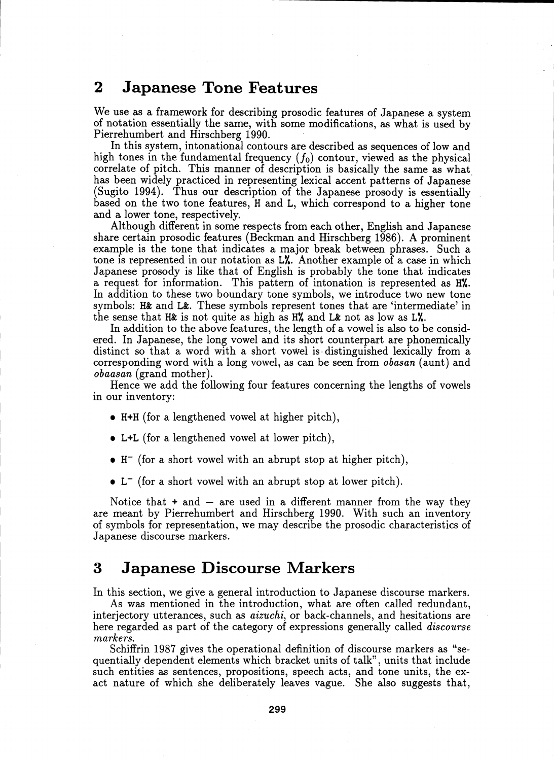## 2 Japanese Tone Features

We use as a framework for describing prosodic features of Japanese a system of notation essentially the same, with some modifications, as what is used by Pierrehumbert and Hirschberg 1990.

In this system, intonational contours are described as sequences of low and high tones in the fundamental frequency  $(f_0)$  contour, viewed as the physical correlate of pitch. This manner of description is basically the same as what has been widely practiced in representing lexical accent patterns of Japanese (Sugito 1994). Thus our description of the Japanese prosody is essentially based on the two tone features, H and L, which correspond to a higher tone and a lower tone, respectively.

Although different in some respects from each other, English and Japanese share certain prosodic features (Beckman and Hirschberg 1986). A prominent example is the tone that indicates a major break between phrases. Such a tone is represented in our notation as L%. Another example of a case in which Japanese prosody is like that of English is probably the tone that indicates a request for information. This pattern of intonation is represented as H%. In addition to these two boundary tone symbols, we introduce two new tone symbols: H& and L&. These symbols represent tones that are 'intermediate' in the sense that H& is not quite as high as H% and L& not as low as L%.

In addition to the above features, the length of a vowel is also to be considered. In Japanese, the long vowel and its short counterpart are phonemically distinct so that a word with a short vowel is distinguished lexically from a corresponding word with a long vowel, as can be seen from *obasan* (aunt) and *obaasan* (grand mother).

Hence we add the following four features concerning the lengths of vowels in our inventory:

- H+H (for a lengthened vowel at higher pitch),
- L+L (for a lengthened vowel at lower pitch),
- $\bullet$  H<sup>-</sup> (for a short vowel with an abrupt stop at higher pitch),
- L<sup>-</sup> (for a short vowel with an abrupt stop at lower pitch).

Notice that  $+$  and  $-$  are used in a different manner from the way they are meant by Pierrehumbert and Hirschberg 1990. With such an inventory of symbols for representation, we may describe the prosodic characteristics of Japanese discourse markers.

### 3 Japanese Discourse Markers

In this section, we give a general introduction to Japanese discourse markers.

As was mentioned in the introduction, what are often called redundant, interjectory utterances, such as *aizuchi,* or back-channels, and hesitations are here regarded as part of the category of expressions generally called *discourse markers.*

Schiffrin 1987 gives the operational definition of discourse markers as "sequentially dependent elements which bracket units of talk", units that include such entities as sentences, propositions, speech acts, and tone units, the exact nature of which she deliberately leaves vague. She also suggests that,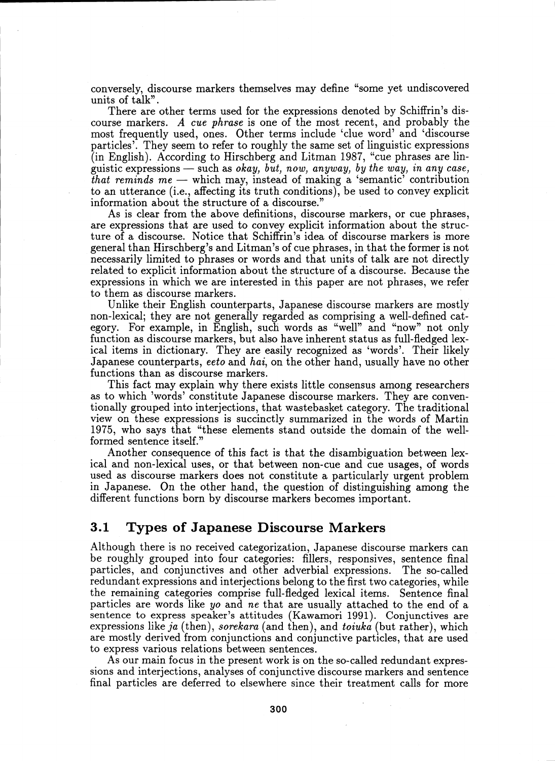conversely, discourse markers themselves may define "some yet undiscovered units of talk".

There are other terms used for the expressions denoted by Schiffrin's discourse markers. A *cue phrase* is one of the most recent, and probably the most frequently used, ones. Other terms include 'clue word' and 'discourse particles'. They seem to refer to roughly the same set of linguistic expressions (in English). According to Hirschberg and Litman 1987, "cue phrases are linguistic expressions — such as *okay, but, now,* anyway, *by the way, in* any *case, that reminds me —* which may, instead of making a 'semantic' contribution to an utterance (i.e., affecting its truth conditions), be used to convey explicit information about the structure of a discourse."

As is clear from the above definitions, discourse markers, or cue phrases, are expressions that are used to convey explicit information about the structure of a discourse. Notice that Schiffrin's idea of discourse markers is more general than Hirschberg's and Litman's of cue phrases, in that the former is not necessarily limited to phrases or words and that units of talk are not directly related to explicit information about the structure of a discourse. Because the expressions in which we are interested in this paper are not phrases, we refer to them as discourse markers.

Unlike their English counterparts, Japanese discourse markers are mostly non-lexical; they are not generally regarded as comprising a well-defined category. For example, in English, such words as "well" and "now" not only function as discourse markers, but also have inherent status as full-fledged lexical items in dictionary. They are easily recognized as 'words'. Their likely Japanese counterparts, *eeto* and *hai,* on the other hand, usually have no other functions than as discourse markers.

This fact may explain why there exists little consensus among researchers as to which 'words' constitute Japanese discourse markers. They are conventionally grouped into interjections, that wastebasket category. The traditional view on these expressions is succinctly summarized in the words of Martin 1975, who says that "these elements stand outside the domain of the wellformed sentence itself."

Another consequence of this fact is that the disambiguation between lexical and non-lexical uses, or that between non-cue and cue usages, of words used as discourse markers does not constitute a particularly urgent problem in Japanese. On the other hand, the question of distinguishing among the different functions born by discourse markers becomes important.

### 3.1 Types of Japanese Discourse Markers

Although there is no received categorization, Japanese discourse markers can be roughly grouped into four categories: fillers, responsives, sentence final particles, and conjunctives and other adverbial expressions. The so-called redundant expressions and interjections belong to the first two categories, while the remaining categories comprise full-fledged lexical items. Sentence final particles are words like *yo* and ne that are usually attached to the end of a sentence to express speaker's attitudes (Kawamori 1991). Conjunctives are expressions like *ja* (then), *sorekara* (and then), and *toiuka* (but rather), which are mostly derived from conjunctions and conjunctive particles, that are used to express various relations between sentences.

As our main focus in the present work is on the so-called redundant expressions and interjections, analyses of conjunctive discourse markers and sentence final particles are deferred to elsewhere since their treatment calls for more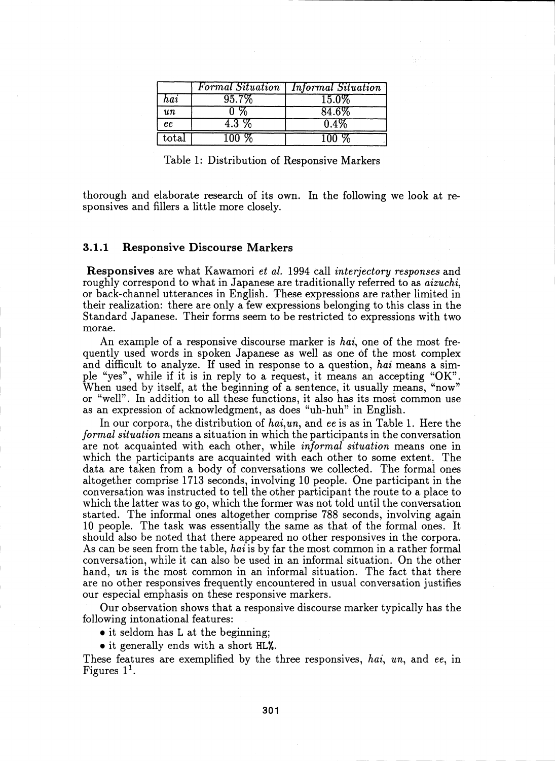|                |          | <b>Formal Situation</b>   Informal Situation |
|----------------|----------|----------------------------------------------|
| hai            | $95.7\%$ | 15.0%                                        |
| $\imath\imath$ |          | 84.6%                                        |
| ee             | 4.3 %    | 0.4%                                         |
| $_{\rm total}$ | .        | 100 %                                        |

Table 1: Distribution of Responsive Markers

thorough and elaborate research of its own. In the following we look at responsives and fillers a little more closely.

#### $3.1.1$ **Responsive Discourse Markers**

**Responsives** are what Kawamori *et al.* 1994 call *interiectory responses* and roughly correspond to what in Japanese are traditionally referred to as *aizuchi*, or back-channel utterances in English. These expressions are rather limited in their realization: there are only a few expressions belonging to this class in the Standard Japanese. Their forms seem to be restricted to expressions with two morae.

An example of a responsive discourse marker is hai, one of the most frequently used words in spoken Japanese as well as one of the most complex and difficult to analyze. If used in response to a question, hai means a simple "yes", while if it is in reply to a request, it means an accepting "OK". When used by itself, at the beginning of a sentence, it usually means, "now" or "well". In addition to all these functions, it also has its most common use as an expression of acknowledgment, as does "uh-huh" in English.

In our corpora, the distribution of hai, un, and ee is as in Table 1. Here the formal situation means a situation in which the participants in the conversation are not acquainted with each other, while *informal situation* means one in which the participants are acquainted with each other to some extent. The data are taken from a body of conversations we collected. The formal ones altogether comprise 1713 seconds, involving 10 people. One participant in the conversation was instructed to tell the other participant the route to a place to which the latter was to go, which the former was not told until the conversation started. The informal ones altogether comprise 788 seconds, involving again 10 people. The task was essentially the same as that of the formal ones. It should also be noted that there appeared no other responsives in the corpora. As can be seen from the table, hai is by far the most common in a rather formal conversation, while it can also be used in an informal situation. On the other hand, un is the most common in an informal situation. The fact that there are no other responsives frequently encountered in usual conversation justifies our especial emphasis on these responsive markers.

Our observation shows that a responsive discourse marker typically has the following intonational features:

- it seldom has L at the beginning;
- it generally ends with a short HL%.

These features are exemplified by the three responsives, hai, un, and ee, in Figures  $1<sup>1</sup>$ .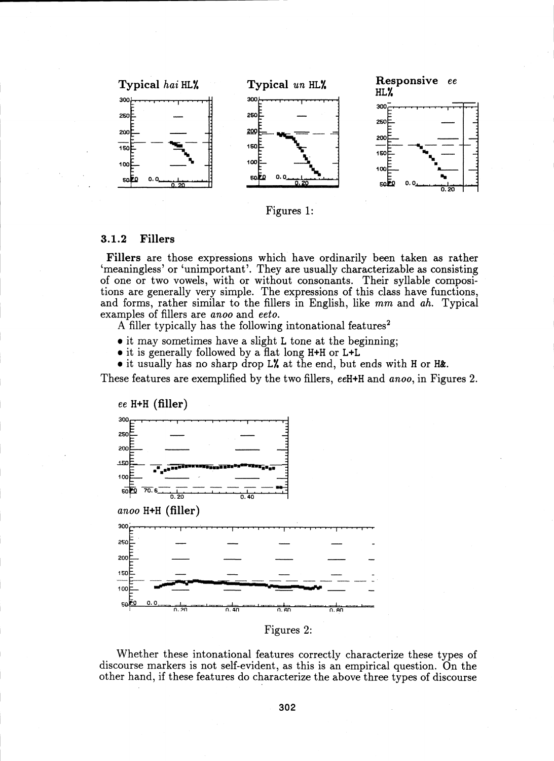



#### **Fillers**  $3.1.2$

Fillers are those expressions which have ordinarily been taken as rather 'meaningless' or 'unimportant'. They are usually characterizable as consisting of one or two vowels, with or without consonants. Their syllable compositions are generally very simple. The expressions of this class have functions, and forms, rather similar to the fillers in English, like mm and ah. Typical examples of fillers are anoo and eeto.

A filler typically has the following intonational features<sup>2</sup>

- it may sometimes have a slight L tone at the beginning;
- it is generally followed by a flat long H+H or L+L

 $\bullet$  it usually has no sharp drop L% at the end, but ends with H or H&.

These features are exemplified by the two fillers, eeH+H and anoo, in Figures 2.



Figures 2:

Whether these intonational features correctly characterize these types of discourse markers is not self-evident, as this is an empirical question. On the other hand, if these features do characterize the above three types of discourse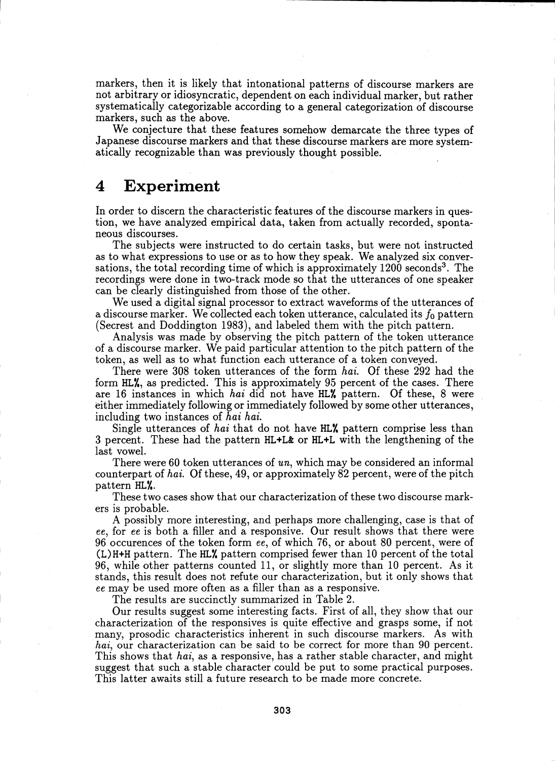markers, then it is likely that intonational patterns of discourse markers are not arbitrary or idiosyncratic, dependent on each individual marker, but rather systematically categorizable according to a general categorization of discourse markers, such as the above.

We conjecture that these features somehow demarcate the three types of Japanese discourse markers and that these discourse markers are more systematically recognizable than was previously thought possible.

### 4 Experiment

In order to discern the characteristic features of the discourse markers in question, we have analyzed empirical data, taken from actually recorded, spontaneous discourses.

The subjects were instructed to do certain tasks, but were not instructed as to what expressions to use or as to how they speak. We analyzed six conversations, the total recording time of which is approximately  $1200$  seconds<sup>3</sup>. The recordings were done in two-track mode so that the utterances of one speaker can be clearly distinguished from those of the other.

We used a digital signal processor to extract waveforms of the utterances of a discourse marker. We collected each token utterance, calculated its  $f_0$  pattern (Secrest and Doddington 1983), and labeled them with the pitch pattern.

Analysis was made by observing the pitch pattern of the token utterance of a discourse marker. We paid particular attention to the pitch pattern of the token, as well as to what function each utterance of a token conveyed.

There were 308 token utterances of the form *hai.* Of these 292 had the form HL%, as predicted. This is approximately 95 percent of the cases. There are 16 instances in which *hai* did not have HL<sup>'</sup>, pattern. Of these, 8 were either immediately following or immediately followed by some other utterances, including two instances of *hai hai.*

Single utterances of *hai* that do not have HL% pattern comprise less than 3 percent. These had the pattern HL+L& or HL+L with the lengthening of the last vowel.

There were 60 token utterances of un, which may be considered an informal counterpart of *hai.* Of these, 49, or approximately 82 percent, were of the pitch pattern HL%.

These two cases show that our characterization of these two discourse markers is probable.

A possibly more interesting, and perhaps more challenging, case is that of *ee,* for *ee* is both a filler and a responsive. Our result shows that there were 96 occurences of the token form *ee,* of which 76, or about 80 percent, were of  $(L)$ H+H pattern. The HL<sup> $\chi$ </sup> pattern comprised fewer than 10 percent of the total 96, while other patterns counted 11, or slightly more than 10 percent. As it stands, this result does not refute our characterization, but it only shows that *ee* may be used more often as a filler than as a responsive.

The results are succinctly summarized in Table 2.

Our results suggest some interesting facts. First of all, they show that our characterization of the responsives is quite effective and grasps some, if not many, prosodic characteristics inherent in such discourse markers. As with *hai,* our characterization can be said to be correct for more than 90 percent. This shows that *hai,* as a responsive, has a rather stable character, and might suggest that such a stable character could be put to some practical purposes. This latter awaits still a future research to be made more concrete.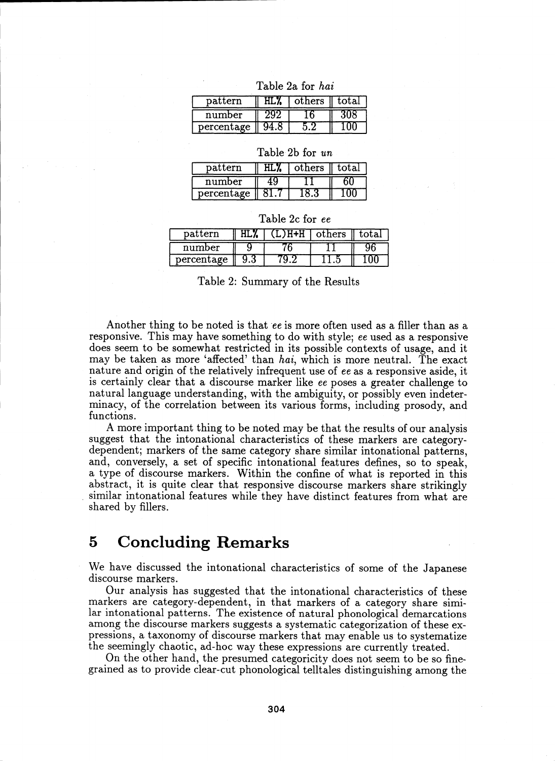| pattern    | others | ' total |
|------------|--------|---------|
| number     |        |         |
| percentage |        |         |

| Table 2a for hai |  |  |
|------------------|--|--|
|                  |  |  |

| Table 2b for un |  |  |
|-----------------|--|--|
|-----------------|--|--|

| pattern    | others | t.ot.a.l |
|------------|--------|----------|
| number     |        |          |
| percentage |        |          |

|  |  | Table 2c for ee |  |
|--|--|-----------------|--|
|  |  |                 |  |

| pattern    | L.) H+H - | l others' | total: |
|------------|-----------|-----------|--------|
| number     |           |           |        |
| percentage |           |           |        |

Table 2: Summary of the Results

Another thing to be noted is that *ee* is more often used as a filler than as a responsive. This may have something to do with style; *ee* used as a responsive does seem to be somewhat restricted in its possible contexts of usage, and it may be taken as more 'affected' than *hai,* which is more neutral. The exact nature and origin of the relatively infrequent use of *ee* as a responsive aside, it is certainly clear that a discourse marker like *ee* poses a greater challenge to natural language understanding, with the ambiguity, or possibly even indeterminacy, of the correlation between its various forms, including prosody, and functions.

A more important thing to be noted may be that the results of our analysis suggest that the intonational characteristics of these markers are categorydependent; markers of the same category share similar intonational patterns, and, conversely, a set of specific intonational features defines, so to speak, a type of discourse markers. Within the confine of what is reported in this abstract, it is quite clear that responsive discourse markers share strikingly similar intonational features while they have distinct features from what are shared by fillers.

## 5 Concluding Remarks

We have discussed the intonational characteristics of some of the Japanese discourse markers.

Our analysis has suggested that the intonational characteristics of these markers are category-dependent, in that markers of a category share similar intonational patterns. The existence of natural phonological demarcations among the discourse markers suggests a systematic categorization of these expressions, a taxonomy of discourse markers that may enable us to systematize the seemingly chaotic, ad-hoc way these expressions are currently treated.

On the other hand, the presumed categoricity does not seem to be so finegrained as to provide clear-cut phonological telltales distinguishing among the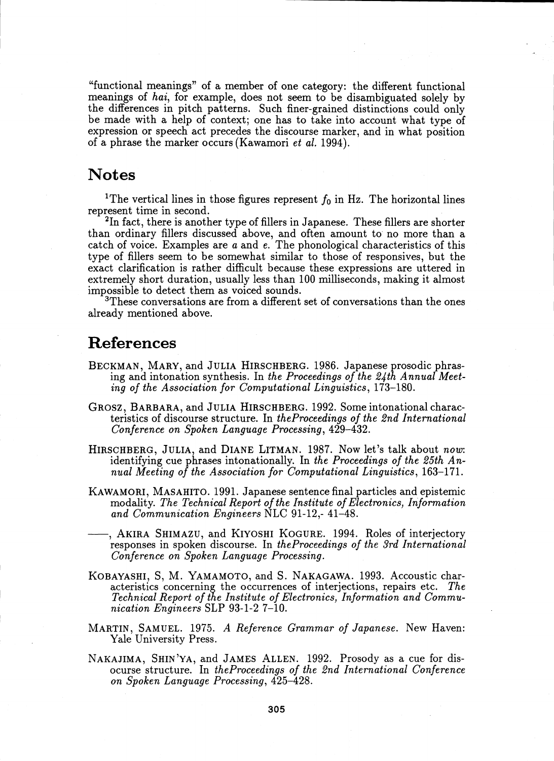"functional meanings" of a member of one category: the different functional meanings of *hai,* for example, does not seem to be disambiguated solely by the differences in pitch patterns. Such finer-grained distinctions could only be made with a help of context; one has to take into account what type of expression or speech act precedes the discourse marker, and in what position of a phrase the marker occurs (Kawamori *et al.* 1994).

## Notes

<sup>1</sup>The vertical lines in those figures represent  $f_0$  in Hz. The horizontal lines represent time in second.

<sup>2</sup>In fact, there is another type of fillers in Japanese. These fillers are shorter than ordinary fillers discussed above, and often amount to no more than a catch of voice. Examples are a and *e.* The phonological characteristics of this type of fillers seem to be somewhat similar to those of responsives, but the exact clarification is rather difficult because these expressions are uttered in extremely short duration, usually less than 100 milliseconds, making it almost impossible to detect them as voiced sounds.

 $3$ These conversations are from a different set of conversations than the ones already mentioned above.

### References

- BECKMAN, MARY, and JULIA HIRSCHBERG. 1986. Japanese prosodic phrasing and intonation synthesis. In *the Proceedings of the 24th Annual Meeting of the Association for Computational Linguistics,* 173-180.
- GROSZ, BARBARA, and JULIA HIRSCHBERG. 1992. Some intonational characteristics of discourse structure. In *theProceedings of the 2nd International Conference on Spoken Language Processing,* 429-432.
- HIRSCHBERG, JULIA, and DIANE LITMAN. 1987. Now let's talk about *now:* identifying cue phrases intonationally. In *the Proceedings of the 25th Annual Meeting of the Association for Computational Linguistics,* 163-171.
- KAWAMORI, MASAHITO. 1991. Japanese sentence final particles and epistemic modality. *The Technical Report of the Institute of Electronics, Information and Communication Engineers* NLC 91-12,- 41-48.
- , AKIRA SHIMAZU, and KIYOSHI KOGURE. 1994. Roles of interjectory responses in spoken discourse. In *theProceedings of the 3rd International Conference on Spoken Language Processing.*
- KOBAYASHI, S, M. YAMAMOTO, and S. NAKAGAWA. 1993. Accoustic characteristics concerning the occurrences of interjections, repairs etc. *The Technical Report of the Institute of Electronics, Information and Communication Engineers* SLP 93-1-2 7-10.
- MARTIN, SAMUEL. 1975. A *Reference Grammar of Japanese.* New Haven: Yale University Press.
- NAKAJIMA, SHIN'YA, and JAMES ALLEN. 1992. Prosody as a cue for disocurse structure. In *theProceedings of the 2nd International Conference on Spoken Language Processing,* 425-428.